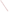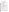# **Consumer Factsheet on: THALLIUM**

[List of Contaminants](http://www.epa.gov/safewater/hfacts.html) 

 As part of the Drinking Water and Health pages, this fact sheet is part of a larger publication: **National Primary Drinking Water Regulations** 

 States Environmental Protection Agency (EPA). This is a factsheet about a chemical that may be found in some public or private drinking water supplies. It may cause health problems if found in amounts greater than the health standard set by the United

#### **What is Thallium and how is it used?**

Thallium is a metal found in natural deposits as ores containing other elements. The greatest use of thallium is in specialized electronic research equipment.

# **Why is Thallium being regulated?**

 based solely on possible health risks and exposure, are called Maximum Contaminant Level Goals. In 1974, Congress passed the Safe Drinking Water Act. This law requires EPA to determine safe levels of chemicals in drinking water which do or may cause health problems. These non-enforceable levels,

 protection would not cause any of the potential health problems described below. The MCLG for thallium has been set at 0.5 parts per billion (ppb) because EPA believes this level of

 Based on this MCLG, EPA has set an enforceable standard called a Maximum Contaminant Level (MCL). MCLs are set as close to the MCLGs as possible, considering the ability of public water systems to detect and remove contaminants using suitable treatment technologies.

 The MCL has been set at 2 ppb because EPA believes, given present technology and resources, this is occur in drinking water. the lowest level to which water systems can reasonably be required to remove this contaminant should it

These drinking water standards and the regulations for ensuring these standards are met, are called National Primary Drinking Water Regulations. All public water supplies must abide by these regulations.

#### **What are the health effects?**

Short-term: EPA has found thallium to potentially cause the following health effects when people are exposed to it at levels above the MCL for relatively short periods of time: gastrointestinal irritation; nerve damage.

Long-term: Thallium has the potential to cause the following effects from a lifetime exposure at levels above the MCL: changes in blood chemistry; damage to liver, kidney, intestinal and testicular tissues; hair loss.

#### **How much Thallium is produced and released to the environment?**

Thallium is not produced in the US. Approximately 4,500 lbs. of thallium and its compounds were reportedly imported in 1987. Man-made sources of thallium pollution are gaseous emission of cement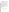factories, coal burning power plants, and metal sewers. The leaching of thallium from ore processing operations is the major source of elevated thallium concentrations in water. Thallium is a trace metal associated with copper, gold, zinc, and cadmium.

### **What happens to Thallium when it is released to the environment?**

 Thallium does not long persist if released to water, but does have a strong tendency to accumulate in aquatic life. If released to land, it may bind to alkaline soils, but may otherwise migrate to ground water.

#### **How will Thallium be detected in and removed from my drinking water?**

 The regulation for thallium became effective in 1994. Between 1993 and 1995, EPA required your water supplier to collect water samples once and analyze them to find out if thallium is present above 2 ppb. If it is present above this level, the system must continue to monitor this contaminant every 3 months.

If contaminant levels are found to be consistently above the MCL, your water supplier must take steps to reduce the amount of thallium so that it is consistently below that level. The following treatment methods have been approved by EPA for removing thallium: Activated alumina; Ion Exchange.

## **How will I know if Thallium is in my drinking water?**

 If the levels of thallium exceed the MCL, the system must notify the public via newspapers, radio, TV and other means. Additional actions, such as providing alternative drinking water supplies, may be required to prevent serious risks to public health.

 States Environmental Protection Agency (EPA). This is a factsheet about a chemical that may be found in some public or private drinking water supplies. It may cause health problems if found in amounts greater than the health standard set by the United

#### **Drinking Water Standards:**

MCLG: 0.5 ppb

MCL: 2 ppb

# **Thallium Releases to Water and Land, 1987 to 1993 (in pounds):**

|               | Water | Land  |
|---------------|-------|-------|
| <b>TOTALS</b> | 2,606 | 2,770 |

|               | <b>Top Five States</b> |       |  |  |
|---------------|------------------------|-------|--|--|
| ТX            | 6                      | 2,020 |  |  |
| OH            | 1,500                  | 0     |  |  |
| <b>MN</b>     | 1,100                  | 0     |  |  |
| <sub>CO</sub> | 0                      | 500   |  |  |